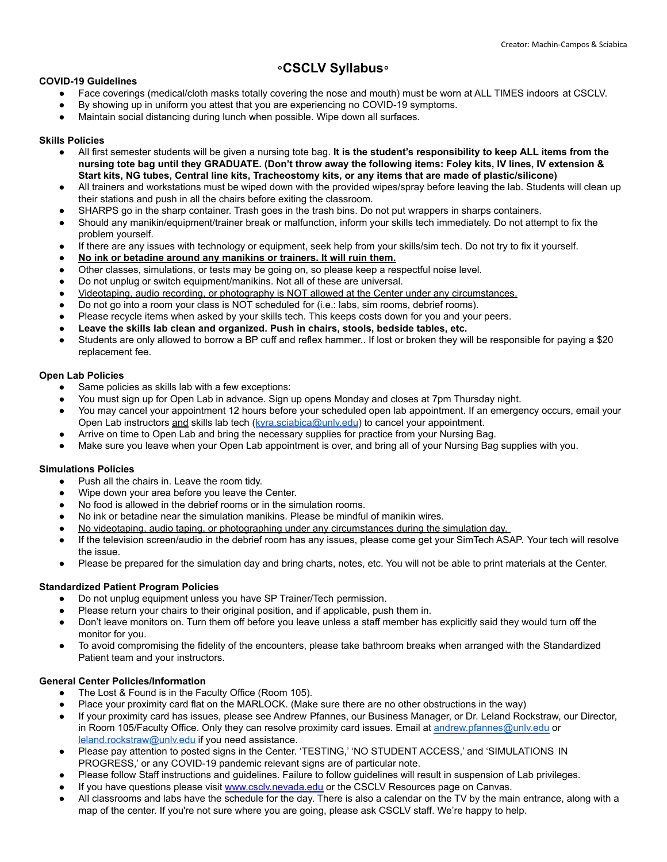# ⸰**CSCLV Syllabus**⸰

# **COVID-19 Guidelines**

- Face coverings (medical/cloth masks totally covering the nose and mouth) must be worn at ALL TIMES indoors at CSCLV.
- By showing up in uniform you attest that you are experiencing no COVID-19 symptoms.
- Maintain social distancing during lunch when possible. Wipe down all surfaces.

# **Skills Policies**

- All first semester students will be given a nursing tote bag. **It is the student's responsibility to keep ALL items from the nursing tote bag until they GRADUATE. (Don't throw away the following items: Foley kits, IV lines, IV extension & Start kits, NG tubes, Central line kits, Tracheostomy kits, or any items that are made of plastic/silicone)**
- All trainers and workstations must be wiped down with the provided wipes/spray before leaving the lab. Students will clean up their stations and push in all the chairs before exiting the classroom.
- SHARPS go in the sharp container. Trash goes in the trash bins. Do not put wrappers in sharps containers.
- Should any manikin/equipment/trainer break or malfunction, inform your skills tech immediately. Do not attempt to fix the problem yourself.
- If there are any issues with technology or equipment, seek help from your skills/sim tech. Do not try to fix it yourself.
- **● No ink or betadine around any manikins or trainers. It will ruin them.**
- Other classes, simulations, or tests may be going on, so please keep a respectful noise level.
- Do not unplug or switch equipment/manikins. Not all of these are universal.
- Videotaping, audio recording, or photography is NOT allowed at the Center under any circumstances.
- Do not go into a room your class is NOT scheduled for (i.e.: labs, sim rooms, debrief rooms).
- Please recycle items when asked by your skills tech. This keeps costs down for you and your peers.
- **● Leave the skills lab clean and organized. Push in chairs, stools, bedside tables, etc.**
- Students are only allowed to borrow a BP cuff and reflex hammer.. If lost or broken they will be responsible for paying a \$20 replacement fee.

# **Open Lab Policies**

- Same policies as skills lab with a few exceptions:
- You must sign up for Open Lab in advance. Sign up opens Monday and closes at 7pm Thursday night.
- You may cancel your appointment 12 hours before your scheduled open lab appointment. If an emergency occurs, email your Open Lab instructors and skills lab tech (kyra.sciabica@unly.edu) to cancel your appointment.
- Arrive on time to Open Lab and bring the necessary supplies for practice from your Nursing Bag.
- Make sure you leave when your Open Lab appointment is over, and bring all of your Nursing Bag supplies with you.

# **Simulations Policies**

- Push all the chairs in. Leave the room tidy.
- Wipe down your area before you leave the Center.
- No food is allowed in the debrief rooms or in the simulation rooms.
- No ink or betadine near the simulation manikins. Please be mindful of manikin wires.
- No videotaping, audio taping, or photographing under any circumstances during the simulation day.
- If the television screen/audio in the debrief room has any issues, please come get your SimTech ASAP. Your tech will resolve the issue.
- Please be prepared for the simulation day and bring charts, notes, etc. You will not be able to print materials at the Center.

# **Standardized Patient Program Policies**

- Do not unplug equipment unless you have SP Trainer/Tech permission.
- Please return your chairs to their original position, and if applicable, push them in.
- Don't leave monitors on. Turn them off before you leave unless a staff member has explicitly said they would turn off the monitor for you.
- To avoid compromising the fidelity of the encounters, please take bathroom breaks when arranged with the Standardized Patient team and your instructors.

## **General Center Policies/Information**

- The Lost & Found is in the Faculty Office (Room 105).
- Place your proximity card flat on the MARLOCK. (Make sure there are no other obstructions in the way)
- If your proximity card has issues, please see Andrew Pfannes, our Business Manager, or Dr. Leland Rockstraw, our Director, in Room 105/Faculty Office. Only they can resolve proximity card issues. Email at andrew.pfannes@unly.edu or [leland.rockstraw@unlv.edu](mailto:leland.rockstraw@unlv.edu) if you need assistance.
- Please pay attention to posted signs in the Center. 'TESTING,' 'NO STUDENT ACCESS,' and 'SIMULATIONS IN PROGRESS,' or any COVID-19 pandemic relevant signs are of particular note.
- Please follow Staff instructions and guidelines. Failure to follow guidelines will result in suspension of Lab privileges.
- If you have questions please visit [www.csclv.nevada.edu](http://www.csclv.nevada.edu) or the CSCLV Resources page on Canvas.
- All classrooms and labs have the schedule for the day. There is also a calendar on the TV by the main entrance, along with a map of the center. If you're not sure where you are going, please ask CSCLV staff. We're happy to help.